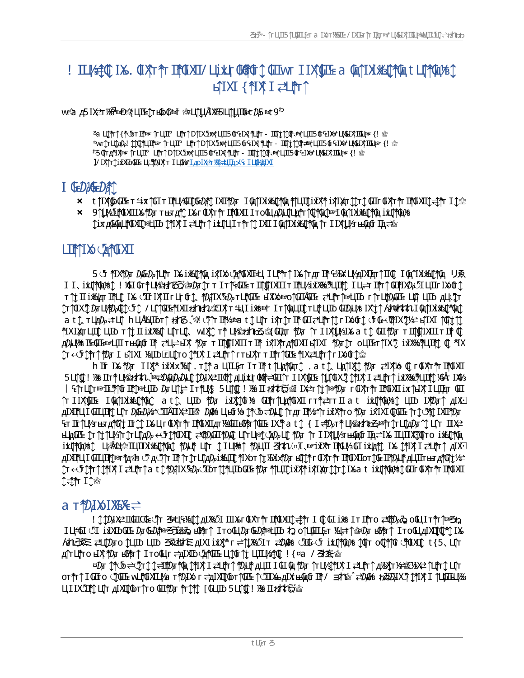## $A$  in  $A$  is a narrow  $A$  in  $\mathbb{R}$  in  $\mathbb{R}$  in  $A$  is a contribution  $A$  and  $A$  are  $A$  are  $A$  are  $A$  are  $A$  and  $A$  are  $A$  are  $A$  are  $A$  are  $A$  are  $A$  are  $A$  are  $A$  are  $A$  are  $A$  are  $A$  are  $A$  are  $\uparrow$   $\uparrow$   $\uparrow$   $\uparrow$   $\uparrow$   $\uparrow$   $\uparrow$   $\uparrow$   $\uparrow$   $\uparrow$   $\uparrow$   $\uparrow$

#### W a o IX o Web 4 LIL to Go & To UNA XIS LOUTER D5 F C<sup>30</sup>

3a Lin 140 to The Trull Lin Dixix LITS GEIX 1Lin - Tin Microfelix LighXTille {! @ PAN Trunde MA stant A state Group, U rand W at the Group, San Diego, San Diego, San Diego, San Diego, C alifornia, S <sup>7</sup>5 On ANA at ALIF LA 1 DIXIX LUIS OF IX ALA - IOL 100 <del>AN</del> LUIS OF IX & LU**GIX III I** ac {! @ IN IXT TIXXIDO LE LICTOIX TILOG BOT LOOKET WEELING EILLOGENIXI

### I GEDHEEDAT

- P roviding experimental insights on the microplastic transport processes in bioretention systems.
- $\times$  9 TLM SLIMON ALLIX THE LATTLE OF A THAN THAN IT COLL LATTLE PARTICLE TO THE LATTLE PARTICLE  $\ast$ Six a GGALININATO CHIX I ZILIT I stormation of the stormate parameters of the stormate  $\mathbb{Z}$

### INDENS OF THE LIGHT

5 G MIXYOG DAGED PULITY IXS LIKELIYAD LI SENASTIC LULINTY TO LATTER TO THE LIGHT SUGGET OF RECENT IS MICROPLAS II, iXIMOGEO! VGI GrALISSIA SSOGEO TO THE GIE TIMOTIXIIT INLISIXXSE PLINO I LL-TINTO CINXOSILIITI IX GTO r (t) II iXelar ITALO IX CIE IX II r Lit Gr 1, 102 IX SeD, r LINDIE eIX X eso (OIIAQUE 24 IN pest LIC r LICHO LIC pulk Or It 100XJ Da LIPDAQJ G J. / LIMODEFIXI łanda 2020 T eLI i XX ez I t MalLIQ r LIP LLID ODDLI/8 I XL I ANDANA LONIX XXLIMAQI a t î, r LpD, = LC h LLA&LIbr^ おろ、? C^r IPS\$® t î LCr i xr îr OI z Llfr î r I XoC î o G+CTRX JS= bî XI ^CO î î to the construction of the distriction of the construction of the removal of the removal of the environment is the e cDALME ILEQILEGHUIT HAQQGINA ZU=HXA PD7 TINGQIXIIT INA IXIXATANTUGIXI PD7 (TO LUILETTIXI) IX XXESPLUIANO QAY X free from from a storm water them from the form in the from the form of the form of the form of the form of the form of the form of the form of the form of the form of the form of the form of the form of the form of the fo

h IIf IXs 10pr IIX the MX A SA LINGER IT IN the MAT at 1, LAN A Dr and A C raktitudal IN A IN A Linguis The Wo 5 LINC ! Y& IIT \* LI/&&&Xt. I=ZDADDLIC DDIXZION ALIXIT OG = UITT I IX QUE TUNOIX C TAIX I ZLINT IXX&SLIUNT VGÅ IXVS  $\parallel$  s $\uparrow$  li $\uparrow$ re $\perp$ l $\uparrow$ f $\uparrow$ linutrients,  $D_F$  li $\uparrow$ len  $D_F$  in the biological performance in  $D_F$  in the biological performance in  $D_F$  in the biological performance in  $D_F$  in the biological performance in  $D$ rt IIX (LITE: IQENTIX XXLONADO) at 1). LUID 1902 iXXNOG 1% QUENTULANOUXIFTARE at and iXLONAD plus IXP and and pIXINUI QILLINANTS UNT DAGDIAN-CILALIX2ILSS DANS LIKAN 16 (MS = DILLI) THAT LINK="TT IXINT O MDT IXIKO LIKLIMDT <sup>G</sup>ET IT ("L|43 HB ДАФ"); IT (")), IX L| Γ ΦΧΤΤΡ ΤΩΝ ΣΙ ΠΡ "ΆΚΙΤΗΔΟΡ" ("QUE IX P" a t (", { I = 40pT |\* L|4204P"), L| L| THE TIX L| THE T  $f$ acing  $f$ r  $f$ t $f$ t $F$ ar $f$ r Li $f$ a $\rho$ o  $\leftarrow$ s  $f$ t $f$ u $\chi$   $\chi$   $\chi$  and  $\eta$  are ligations in the removal efficiency of  $f$  and  $f$  and  $\eta$  is a static plastic plastic plastic plastic plastic plastic plastic plasti ikli†Qu%) LuÄ&LA. NANOPOQ †DLI; LIr 1, ILLY&^ †DLLIE 31 to 61 um er stokratikler ik 1,11 X i zLIr ↑ µI X i al XIALI CILLIATIER PALS OF A COTT IN THE TOLOGISHING PLANS TO THE MAXIS THE FIRST DEVELOPMENT OF A CAN'T 152  $\ln \epsilon$ G $\ln \ln \ln \tan \tau$  at  $\ln \ln \tan \theta$  . Obtimiling the  $\ln \tan \tan \pi$  is trainding the  $\ln \tan \theta$  of  $\ln \tan \theta$ systems.

### $a$  T $M$   $\delta$   $N_{\text{max}}$

! ^^D]X2IQIIOGEC)T 3GEL\EVAN^^ AJX&SI IIIXGrQ1XT^^T`MQXIQ`={^^T IQ^QIiX& ITIFro =``ODG`QQL|IT^^T^@3Gq ILI TO INVIDUM DO GEOPOSSING LAPIT ITOCLIDO GEOPORILID TO OLLULLET KLAT TOSODO LAPIT ITOCLI ALTULATION, IK  $\Delta t$  of  $\widetilde{\mathcal{F}}$  and  $\widetilde{\mathcal{F}}$  and  $\widetilde{\mathcal{F}}$  and  $\widetilde{\mathcal{F}}$  of  $\widetilde{\mathcal{F}}$  and  $\widetilde{\mathcal{F}}$  are  $\widetilde{\mathcal{F}}$  and  $\widetilde{\mathcal{F}}$  are  $\widetilde{\mathcal{F}}$  and  $\widetilde{\mathcal{F}}$  are  $\widetilde{\mathcal{F}}$  are  $\widetilde{\mathcal{F}}$  and  $\widetilde{\mathcal{$ **дîrЦîro ЫХ? Фл ЫФаrî IroQLI => ДIXID QAYQILE LL îQirî | LUILI/sâQî !{¤a / 3125c @** 

¤Da 17405 = Qr11<del>, EIID</del>a 1940 1940K I allfr 1 10JAF allII I OI OG 10Ja 1r LV31940K I allfr 1 ABAStVsX2 1 LFr1 LLfr ot fr f I QUI to CJQUIE WLIFOLI XIA K ethol by considering a considerate considering considering considering a LIIXTHE LIT AIXTIGT TO CHEOR THE TELL CLUB 5 LINE! WE HER TO GET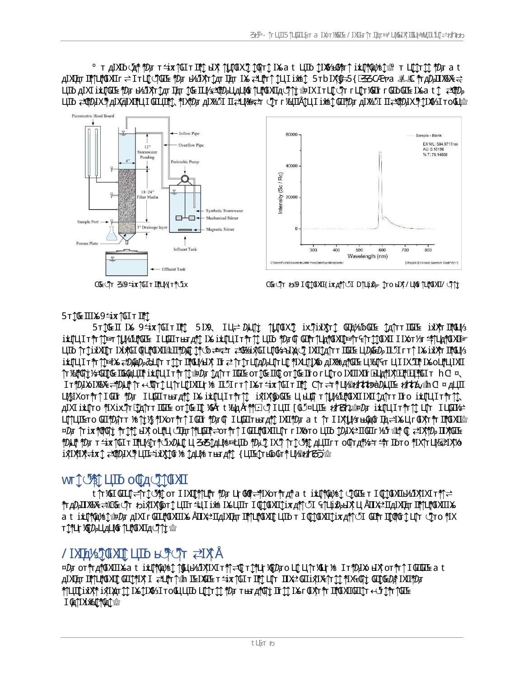¤Dp ot frµfNIXIIXatikLifNA)#{`NHYSIXIXIrf\=\Q`r{fL|\%DpoLl{L\[r}&l|`%IrfD}IXoHX`orfr|`IQIQIIEat plixipo in Lightations in storm water. Ongoing the consideration of the progress in progress to give in the pr  $\uparrow$ n $\downarrow$ Trik $\chi$ † i $\chi$ Tr $\uparrow$  IX $\downarrow$ T $\chi$ si to $\uparrow$ Ll $\uparrow$ D $\downarrow$ T $\uparrow$   $\uparrow$   $\uparrow$   $p$  $\downarrow$  Tri $\downarrow$   $\downarrow$  Tri $\downarrow$   $\downarrow$   $\downarrow$   $\downarrow$   $\downarrow$   $\downarrow$   $\downarrow$   $\downarrow$   $\downarrow$   $\downarrow$   $\downarrow$   $\downarrow$   $\downarrow$   $\downarrow$   $\downarrow$   $\downarrow$   $\downarrow$   $\downarrow$ **I CALLYSTAN LET** 

# **C ONCLUSIONS AND TEXTURE VIOLET IN**

t fr 1\$10 CCLQ fertiminary results to demonstrate the ability of the ability of the top of the top of the top o the Angles of the Angles and Concentration of a known and the concentration of a known the form of a known of  $\eta$ a thin Phapis particles. The combines and combination of the combines are used to  $\frac{1}{2}$  of  $\frac{1}{2}$  and  $\frac{1}{2}$  and  $\frac{1}{2}$  and  $\frac{1}{2}$  and  $\frac{1}{2}$  and  $\frac{1}{2}$  and  $\frac{1}{2}$  and  $\frac{1}{2}$  and  $\frac{1}{2}$  and **TITLE KED, LLALIKE TLITU XILACT TL @** 

## WILL SULTER AND THE WALL

5 T TO GEI I XS 9 SEX TO LIT INT STOR I LIGE DALIT TULTURAL IN DUTING TO LIGE POTENTIAL STORY TITOLLYS iXQUIT fr fOram fUNSURGULE ILLGOT HET AFFECTS IX IXQUIT fr fFELUID fOR CHET PLAROUNDRATE ET FOOD TING THE PLAROUNDRA LUID Tr TIXXIIT IX XXII QHANIXILIADAT TA LO <del>J</del>ESZA ZUKAXILING SHIXLATI IN THILI HIGH DASD IL DI r TT I X IXXIT INALIS iXQUIT fr YD@FX ¿DADDDZJTr TJJr IFALIYAIX II ¿Tr Jr LIJQDDLIT LIL fIXLIJIXO AIXX&QFAIIE LIXENEF LIIIXJIFIXoLFLLIXII frikt the street install the screening of the screening of the screening of the scale of the scale of the scale time (OFA T) is designed to the scale of the scale of the scale of the scale of the scale of the scale of the IT POIXOIXEX=POAT THAT LUTHODOUT THAT THE REASONABLE TO THE REAL POST OF EXPERIMENTS OF ALL T  $L$ M $\delta$ IXo t $\hat{\tau}$ the  $\hat{\tau}$  determine the interpreteration of  $\hat{\tau}$  in  $\hat{\tau}$  in  $\hat{\tau}$  and  $\hat{\tau}$  in  $\hat{\tau}$  is a fair  $\hat{\tau}$  in  $\hat{\tau}$  in  $\hat{\tau}$  is a fair  $\hat{\tau}$  in  $\hat{\tau}$  in  $\hat{\tau}$  is a fair  $\hat{\tau}$  in **ДІХІ і x 4ro †IX ix 9r G)Ar TIQILE OT JGE IQ 96Å t 1&lA 个FELO I LUI [QC¤LUE #7&A?@?D7 i x41°LI Tr The TLUIU&=** LIM LITE TO CLIPD ATT 16 M IS MOT A LICET POT CILLELT HE LAT DETERMINE TO A three LICENS OF A BIOLOGY AT BIOLOGY  $\mathbb{Z}_F$  of ix for the form in blue tests of  $\mathbb{Z}_F$  the form in blue tests for determine the sets of  $\mathbb{Z}_F$  and  $\mathbb{Z}_F$  is  $\mathbb{Z}_F$  . It is the state in blue  $\mathbb{Z}_F$ tDLAT TO THE EXPOIT INLIST TO SOLL LISS COLLISE GILLIG TO A 2. THUS CAN BE DIT CONTROLLED TO THE LIGERIA SOLLA **ixTXTX=ix^ zXDJXY\UTE=ixX^CG %^^qLV&T+br\_qA^\{UTE{r+GDGr^\U%YrG3**i%



STTGE IIIX9 STTGIT IN







W e conduct the experiments for various sizes of M P and soil filter particles. W e assess the M P pIXIIn INCLANTIC = ITLOCONIE PD7 B&IXTO AT ING ELANTOLII IXHO 5TbIXOGE5{E335CAEra 监监个pDAIIXBX== LUID AIXI iXLINILE PD7 LASIXT LAT ILAT 10G ILLY32NPDALALAG TUNNIKLO TI WEIXIT LUCOT rULT KAIF rOLID GILE IX-a t 1 5 2NPDp and with without computer which contains the contaming wall, we use the contact of the contact of the column w